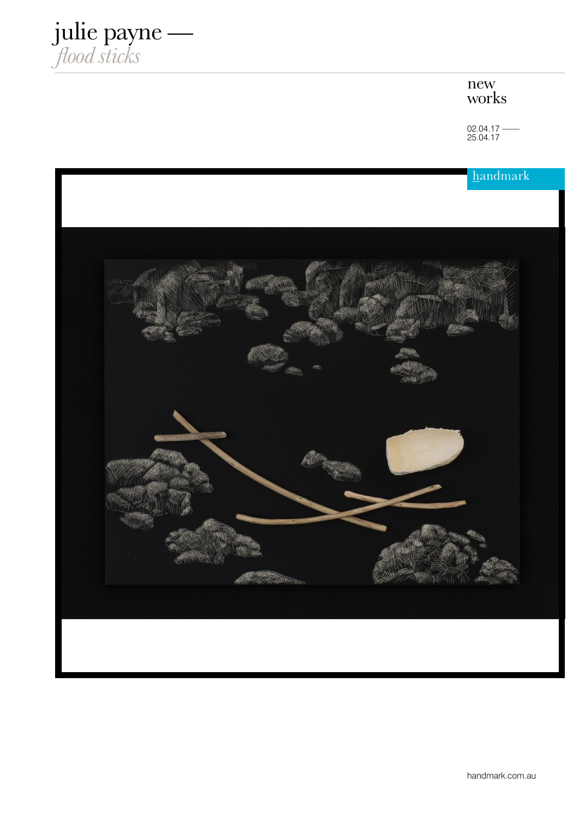

## new works

02.04.17 —— 25.04.17

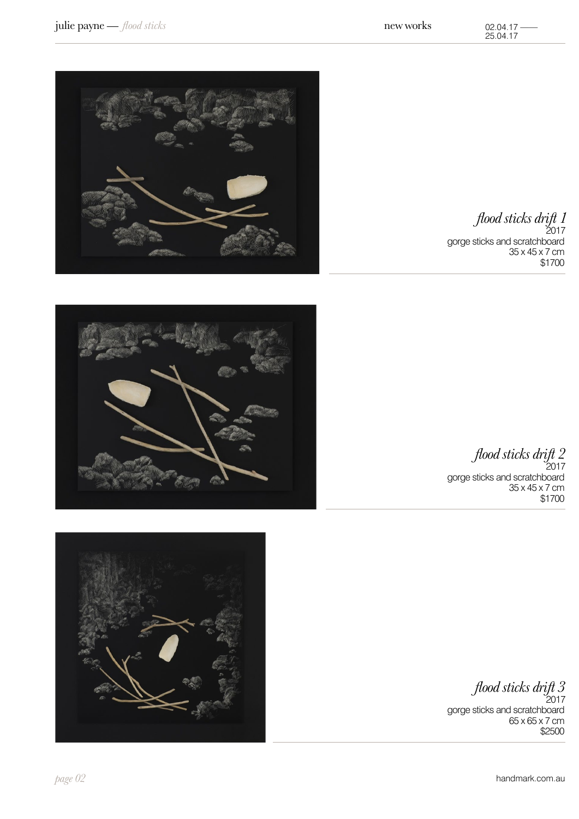

*flood sticks drift 1*  $2017$ gorge sticks and scratchboard 35 x 45 x 7 cm \$1700



*flood sticks drift 2* 2017 gorge sticks and scratchboard 35 x 45 x 7 cm \$1700



*flood sticks drift 3*

 $2017$ gorge sticks and scratchboard 65 x 65 x 7 cm \$2500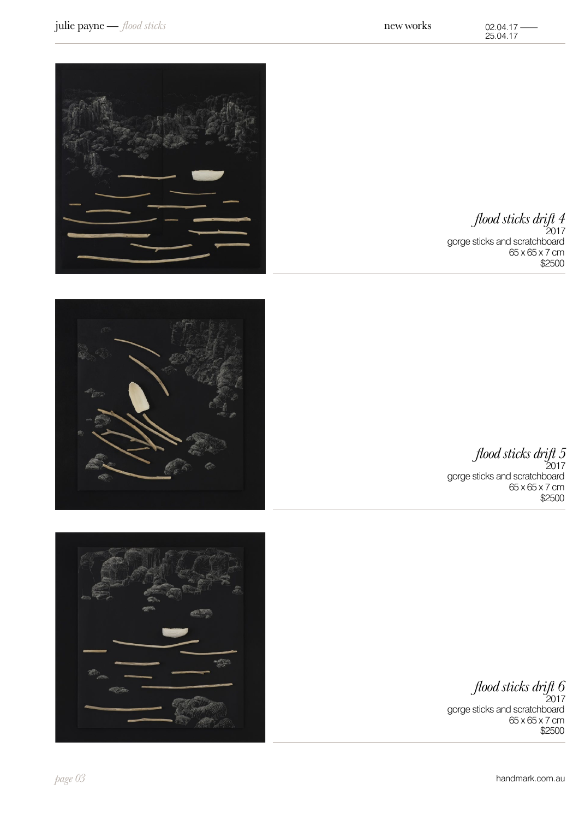

*flood sticks drift 4* , . . .<br>2017

gorge sticks and scratchboard 65 x 65 x 7 cm \$2500



*flood sticks drift 5* ,<br>2017

gorge sticks and scratchboard 65 x 65 x 7 cm \$2500

*flood sticks drift 6*

 $2017$ gorge sticks and scratchboard  $65 \times 65 \times 7$  cm \$2500

*page 03* handmark.com.au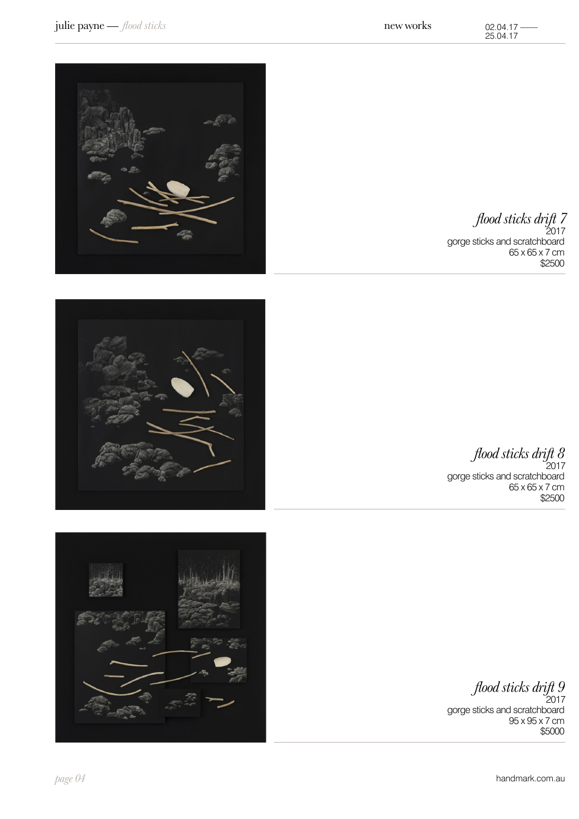

*flood sticks drift 7* 2017 gorge sticks and scratchboard 65 x 65 x 7 cm \$2500





gorge sticks and scratchboard 65 x 65 x 7 cm \$2500



*flood sticks drift 9* ,<br>2017

gorge sticks and scratchboard 95 x 95 x 7 cm \$5000